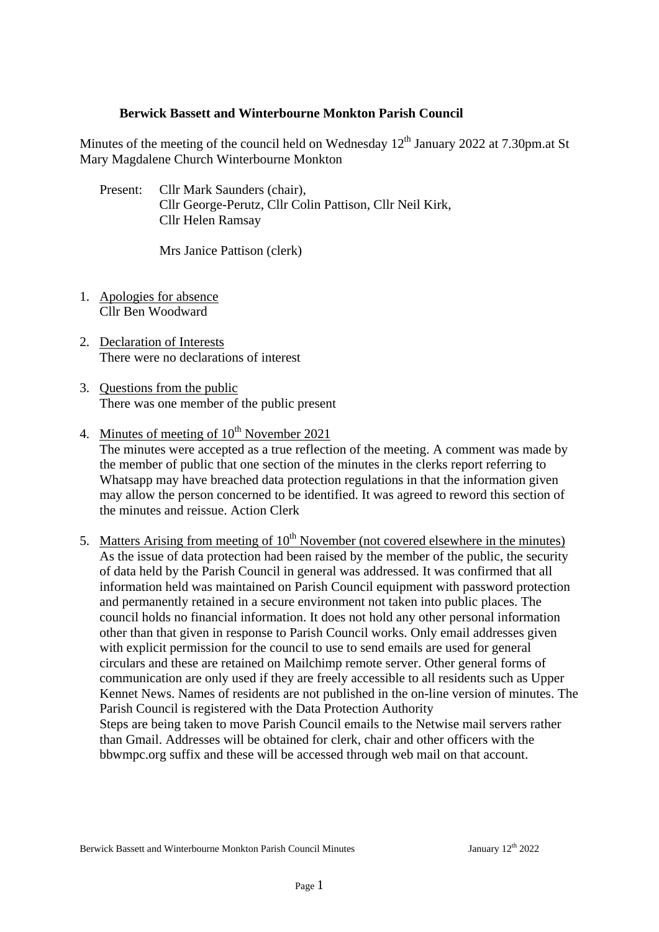### **Berwick Bassett and Winterbourne Monkton Parish Council**

Minutes of the meeting of the council held on Wednesday  $12<sup>th</sup>$  January 2022 at 7.30pm.at St Mary Magdalene Church Winterbourne Monkton

Present: Cllr Mark Saunders (chair), Cllr George-Perutz, Cllr Colin Pattison, Cllr Neil Kirk, Cllr Helen Ramsay

Mrs Janice Pattison (clerk)

- 1. Apologies for absence Cllr Ben Woodward
- 2. Declaration of Interests There were no declarations of interest
- 3. Questions from the public There was one member of the public present
- 4. Minutes of meeting of  $10^{th}$  November 2021

The minutes were accepted as a true reflection of the meeting. A comment was made by the member of public that one section of the minutes in the clerks report referring to Whatsapp may have breached data protection regulations in that the information given may allow the person concerned to be identified. It was agreed to reword this section of the minutes and reissue. Action Clerk

5. Matters Arising from meeting of  $10^{th}$  November (not covered elsewhere in the minutes) As the issue of data protection had been raised by the member of the public, the security of data held by the Parish Council in general was addressed. It was confirmed that all information held was maintained on Parish Council equipment with password protection and permanently retained in a secure environment not taken into public places. The council holds no financial information. It does not hold any other personal information other than that given in response to Parish Council works. Only email addresses given with explicit permission for the council to use to send emails are used for general circulars and these are retained on Mailchimp remote server. Other general forms of communication are only used if they are freely accessible to all residents such as Upper Kennet News. Names of residents are not published in the on-line version of minutes. The Parish Council is registered with the Data Protection Authority Steps are being taken to move Parish Council emails to the Netwise mail servers rather than Gmail. Addresses will be obtained for clerk, chair and other officers with the bbwmpc.org suffix and these will be accessed through web mail on that account.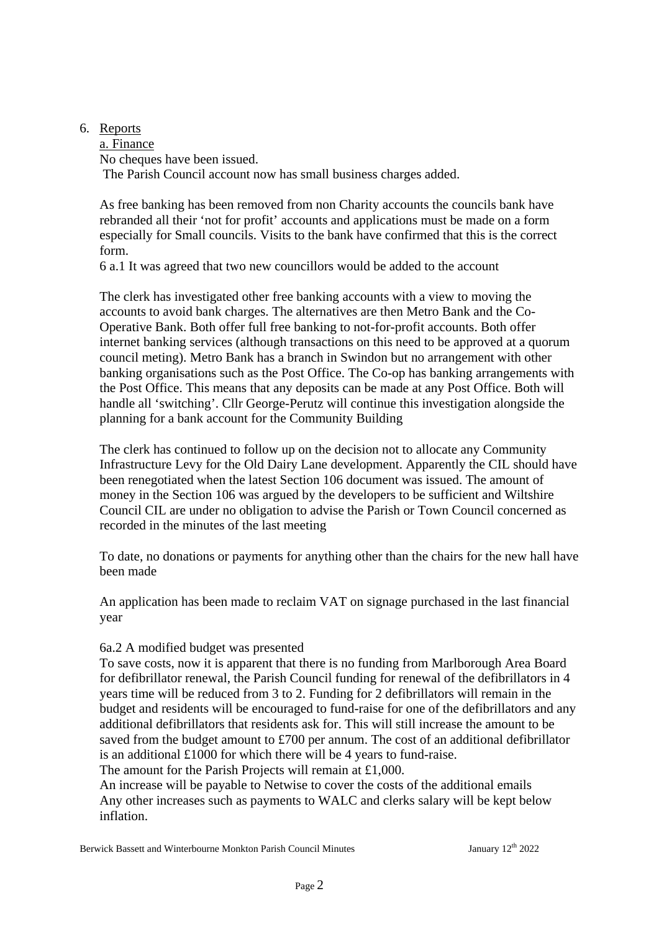6. Reports

a. Finance No cheques have been issued. The Parish Council account now has small business charges added.

As free banking has been removed from non Charity accounts the councils bank have rebranded all their 'not for profit' accounts and applications must be made on a form especially for Small councils. Visits to the bank have confirmed that this is the correct form.

6 a.1 It was agreed that two new councillors would be added to the account

The clerk has investigated other free banking accounts with a view to moving the accounts to avoid bank charges. The alternatives are then Metro Bank and the Co-Operative Bank. Both offer full free banking to not-for-profit accounts. Both offer internet banking services (although transactions on this need to be approved at a quorum council meting). Metro Bank has a branch in Swindon but no arrangement with other banking organisations such as the Post Office. The Co-op has banking arrangements with the Post Office. This means that any deposits can be made at any Post Office. Both will handle all 'switching'. Cllr George-Perutz will continue this investigation alongside the planning for a bank account for the Community Building

The clerk has continued to follow up on the decision not to allocate any Community Infrastructure Levy for the Old Dairy Lane development. Apparently the CIL should have been renegotiated when the latest Section 106 document was issued. The amount of money in the Section 106 was argued by the developers to be sufficient and Wiltshire Council CIL are under no obligation to advise the Parish or Town Council concerned as recorded in the minutes of the last meeting

To date, no donations or payments for anything other than the chairs for the new hall have been made

An application has been made to reclaim VAT on signage purchased in the last financial year

### 6a.2 A modified budget was presented

To save costs, now it is apparent that there is no funding from Marlborough Area Board for defibrillator renewal, the Parish Council funding for renewal of the defibrillators in 4 years time will be reduced from 3 to 2. Funding for 2 defibrillators will remain in the budget and residents will be encouraged to fund-raise for one of the defibrillators and any additional defibrillators that residents ask for. This will still increase the amount to be saved from the budget amount to £700 per annum. The cost of an additional defibrillator is an additional £1000 for which there will be 4 years to fund-raise.

The amount for the Parish Projects will remain at £1,000.

An increase will be payable to Netwise to cover the costs of the additional emails Any other increases such as payments to WALC and clerks salary will be kept below inflation.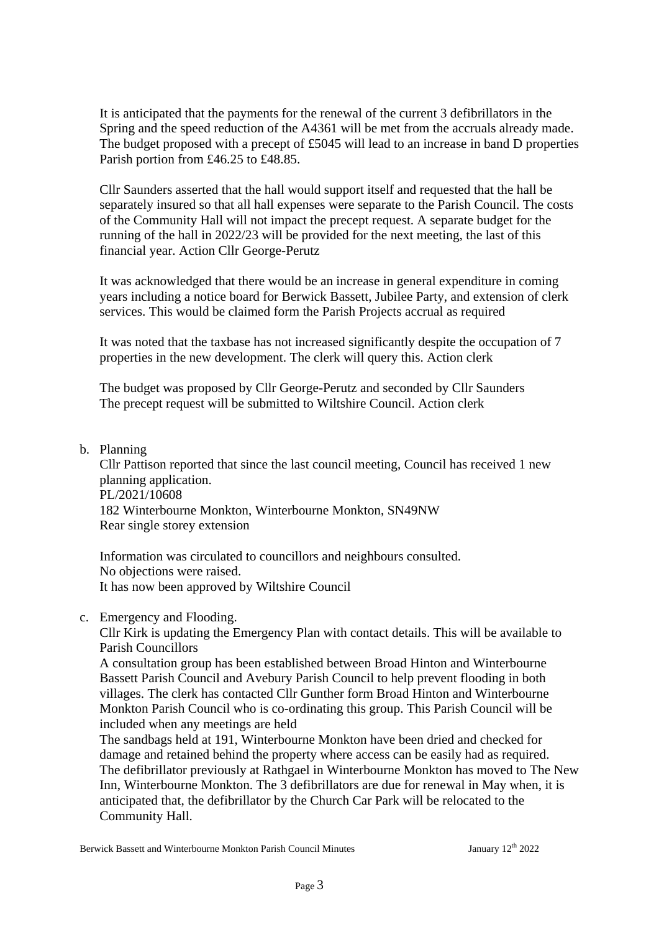It is anticipated that the payments for the renewal of the current 3 defibrillators in the Spring and the speed reduction of the A4361 will be met from the accruals already made. The budget proposed with a precept of £5045 will lead to an increase in band D properties Parish portion from £46.25 to £48.85.

Cllr Saunders asserted that the hall would support itself and requested that the hall be separately insured so that all hall expenses were separate to the Parish Council. The costs of the Community Hall will not impact the precept request. A separate budget for the running of the hall in 2022/23 will be provided for the next meeting, the last of this financial year. Action Cllr George-Perutz

It was acknowledged that there would be an increase in general expenditure in coming years including a notice board for Berwick Bassett, Jubilee Party, and extension of clerk services. This would be claimed form the Parish Projects accrual as required

It was noted that the taxbase has not increased significantly despite the occupation of 7 properties in the new development. The clerk will query this. Action clerk

The budget was proposed by Cllr George-Perutz and seconded by Cllr Saunders The precept request will be submitted to Wiltshire Council. Action clerk

### b. Planning

Cllr Pattison reported that since the last council meeting, Council has received 1 new planning application. PL/2021/10608 182 Winterbourne Monkton, Winterbourne Monkton, SN49NW Rear single storey extension

Information was circulated to councillors and neighbours consulted. No objections were raised. It has now been approved by Wiltshire Council

### c. Emergency and Flooding.

Cllr Kirk is updating the Emergency Plan with contact details. This will be available to Parish Councillors

A consultation group has been established between Broad Hinton and Winterbourne Bassett Parish Council and Avebury Parish Council to help prevent flooding in both villages. The clerk has contacted Cllr Gunther form Broad Hinton and Winterbourne Monkton Parish Council who is co-ordinating this group. This Parish Council will be included when any meetings are held

The sandbags held at 191, Winterbourne Monkton have been dried and checked for damage and retained behind the property where access can be easily had as required. The defibrillator previously at Rathgael in Winterbourne Monkton has moved to The New Inn, Winterbourne Monkton. The 3 defibrillators are due for renewal in May when, it is anticipated that, the defibrillator by the Church Car Park will be relocated to the Community Hall.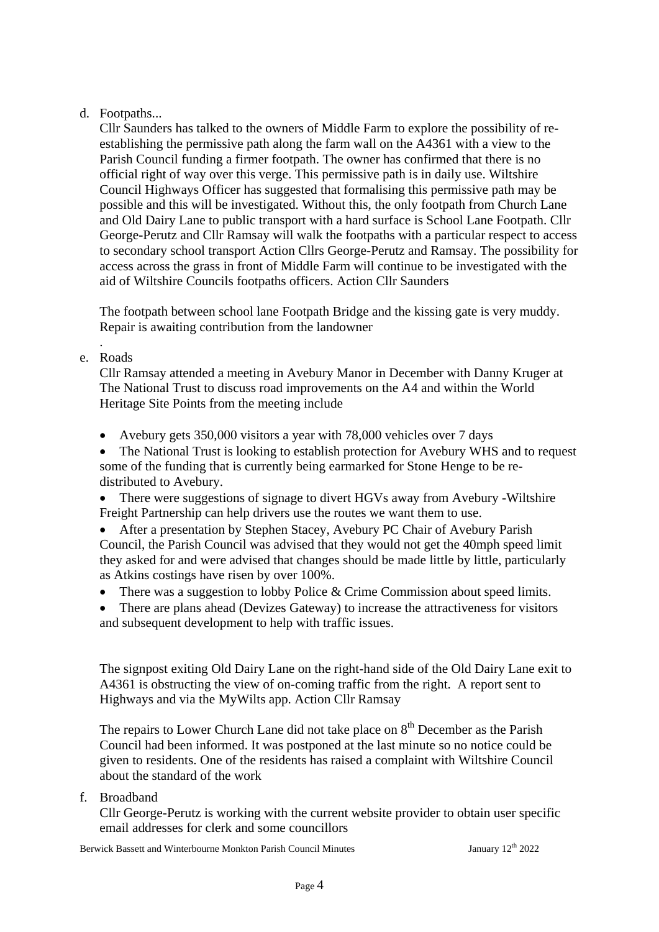# d. Footpaths...

Cllr Saunders has talked to the owners of Middle Farm to explore the possibility of reestablishing the permissive path along the farm wall on the A4361 with a view to the Parish Council funding a firmer footpath. The owner has confirmed that there is no official right of way over this verge. This permissive path is in daily use. Wiltshire Council Highways Officer has suggested that formalising this permissive path may be possible and this will be investigated. Without this, the only footpath from Church Lane and Old Dairy Lane to public transport with a hard surface is School Lane Footpath. Cllr George-Perutz and Cllr Ramsay will walk the footpaths with a particular respect to access to secondary school transport Action Cllrs George-Perutz and Ramsay. The possibility for access across the grass in front of Middle Farm will continue to be investigated with the aid of Wiltshire Councils footpaths officers. Action Cllr Saunders

The footpath between school lane Footpath Bridge and the kissing gate is very muddy. Repair is awaiting contribution from the landowner

. e. Roads

> Cllr Ramsay attended a meeting in Avebury Manor in December with Danny Kruger at The National Trust to discuss road improvements on the A4 and within the World Heritage Site Points from the meeting include

• Avebury gets 350,000 visitors a year with 78,000 vehicles over 7 days

• The National Trust is looking to establish protection for Avebury WHS and to request some of the funding that is currently being earmarked for Stone Henge to be redistributed to Avebury.

• There were suggestions of signage to divert HGVs away from Avebury -Wiltshire Freight Partnership can help drivers use the routes we want them to use.

• After a presentation by Stephen Stacey, Avebury PC Chair of Avebury Parish Council, the Parish Council was advised that they would not get the 40mph speed limit they asked for and were advised that changes should be made little by little, particularly as Atkins costings have risen by over 100%.

- There was a suggestion to lobby Police & Crime Commission about speed limits.
- There are plans ahead (Devizes Gateway) to increase the attractiveness for visitors and subsequent development to help with traffic issues.

The signpost exiting Old Dairy Lane on the right-hand side of the Old Dairy Lane exit to A4361 is obstructing the view of on-coming traffic from the right. A report sent to Highways and via the MyWilts app. Action Cllr Ramsay

The repairs to Lower Church Lane did not take place on  $8<sup>th</sup>$  December as the Parish Council had been informed. It was postponed at the last minute so no notice could be given to residents. One of the residents has raised a complaint with Wiltshire Council about the standard of the work

f. Broadband

Cllr George-Perutz is working with the current website provider to obtain user specific email addresses for clerk and some councillors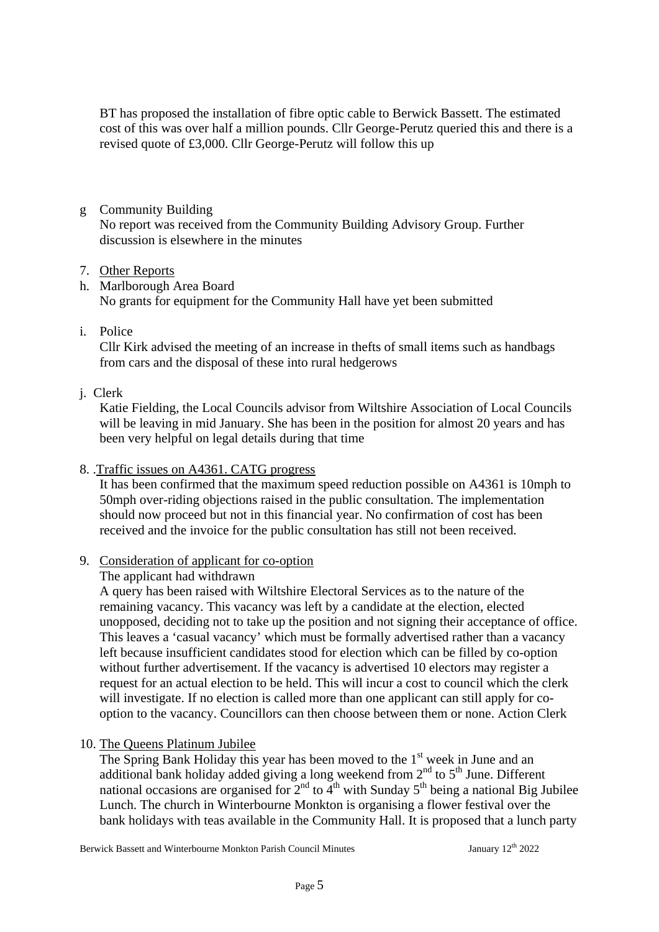BT has proposed the installation of fibre optic cable to Berwick Bassett. The estimated cost of this was over half a million pounds. Cllr George-Perutz queried this and there is a revised quote of £3,000. Cllr George-Perutz will follow this up

g Community Building

No report was received from the Community Building Advisory Group. Further discussion is elsewhere in the minutes

### 7. Other Reports

h. Marlborough Area Board No grants for equipment for the Community Hall have yet been submitted

i. Police

 Cllr Kirk advised the meeting of an increase in thefts of small items such as handbags from cars and the disposal of these into rural hedgerows

## j. Clerk

Katie Fielding, the Local Councils advisor from Wiltshire Association of Local Councils will be leaving in mid January. She has been in the position for almost 20 years and has been very helpful on legal details during that time

8. .Traffic issues on A4361. CATG progress

It has been confirmed that the maximum speed reduction possible on A4361 is 10mph to 50mph over-riding objections raised in the public consultation. The implementation should now proceed but not in this financial year. No confirmation of cost has been received and the invoice for the public consultation has still not been received.

## 9. Consideration of applicant for co-option

The applicant had withdrawn

A query has been raised with Wiltshire Electoral Services as to the nature of the remaining vacancy. This vacancy was left by a candidate at the election, elected unopposed, deciding not to take up the position and not signing their acceptance of office. This leaves a 'casual vacancy' which must be formally advertised rather than a vacancy left because insufficient candidates stood for election which can be filled by co-option without further advertisement. If the vacancy is advertised 10 electors may register a request for an actual election to be held. This will incur a cost to council which the clerk will investigate. If no election is called more than one applicant can still apply for cooption to the vacancy. Councillors can then choose between them or none. Action Clerk

10. The Queens Platinum Jubilee

The Spring Bank Holiday this year has been moved to the  $1<sup>st</sup>$  week in June and an additional bank holiday added giving a long weekend from  $2<sup>nd</sup>$  to  $5<sup>th</sup>$  June. Different national occasions are organised for  $2<sup>nd</sup>$  to  $4<sup>th</sup>$  with Sunday 5<sup>th</sup> being a national Big Jubilee Lunch. The church in Winterbourne Monkton is organising a flower festival over the bank holidays with teas available in the Community Hall. It is proposed that a lunch party